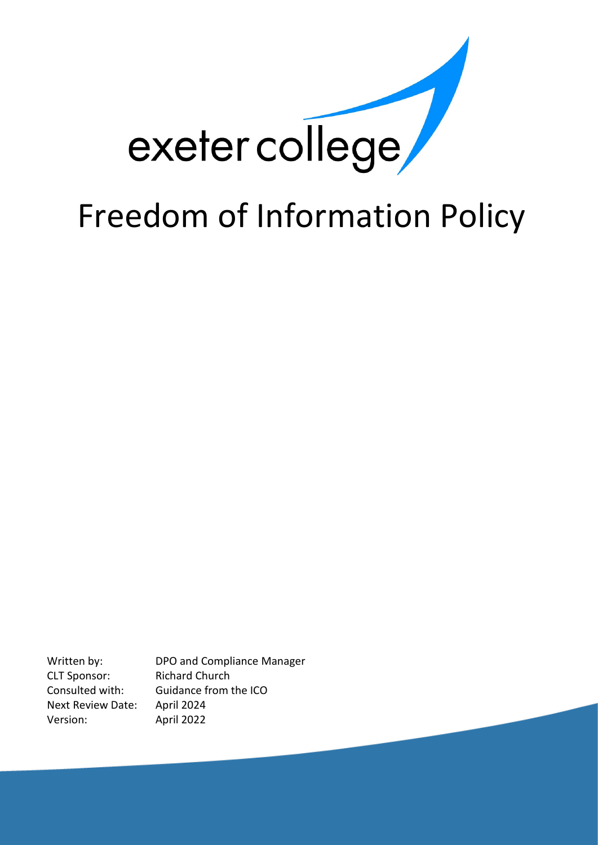

Written by: DPO and Compliance Manager CLT Sponsor: Richard Church Consulted with: Guidance from the ICO Next Review Date: April 2024 Version: April 2022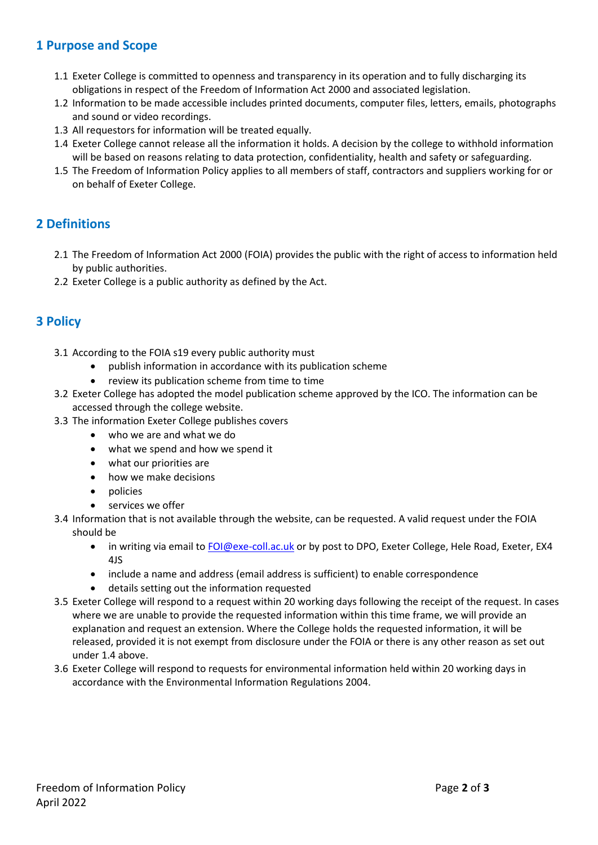#### **1 Purpose and Scope**

- 1.1 Exeter College is committed to openness and transparency in its operation and to fully discharging its obligations in respect of the Freedom of Information Act 2000 and associated legislation.
- 1.2 Information to be made accessible includes printed documents, computer files, letters, emails, photographs and sound or video recordings.
- 1.3 All requestors for information will be treated equally.
- 1.4 Exeter College cannot release all the information it holds. A decision by the college to withhold information will be based on reasons relating to data protection, confidentiality, health and safety or safeguarding.
- 1.5 The Freedom of Information Policy applies to all members of staff, contractors and suppliers working for or on behalf of Exeter College.

### **2 Definitions**

- 2.1 The Freedom of Information Act 2000 (FOIA) provides the public with the right of access to information held by public authorities.
- 2.2 Exeter College is a public authority as defined by the Act.

### **3 Policy**

- 3.1 According to the FOIA s19 every public authority must
	- publish information in accordance with its publication scheme
	- review its publication scheme from time to time
- 3.2 Exeter College has adopted the model publication scheme approved by the ICO. The information can be accessed through the college website.
- 3.3 The information Exeter College publishes covers
	- who we are and what we do
	- what we spend and how we spend it
	- what our priorities are
	- how we make decisions
	- policies
	- services we offer
- 3.4 Information that is not available through the website, can be requested. A valid request under the FOIA should be
	- in writing via email to [FOI@exe-coll.ac.uk](mailto:FOI@exe-coll.ac.uk) or by post to DPO, Exeter College, Hele Road, Exeter, EX4 4JS
	- include a name and address (email address is sufficient) to enable correspondence
	- details setting out the information requested
- 3.5 Exeter College will respond to a request within 20 working days following the receipt of the request. In cases where we are unable to provide the requested information within this time frame, we will provide an explanation and request an extension. Where the College holds the requested information, it will be released, provided it is not exempt from disclosure under the FOIA or there is any other reason as set out under 1.4 above.
- 3.6 Exeter College will respond to requests for environmental information held within 20 working days in accordance with the Environmental Information Regulations 2004.